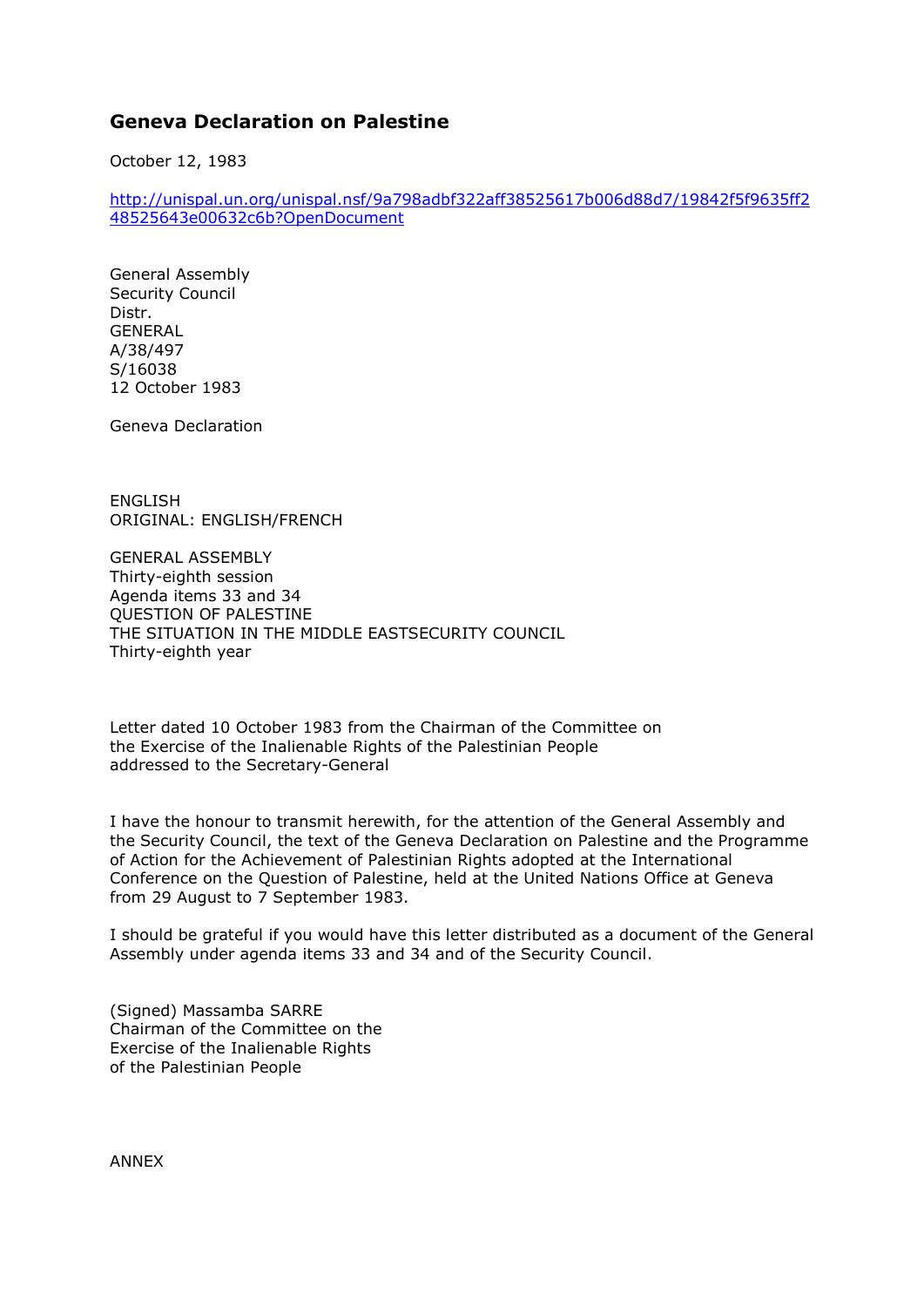# **Geneva Declaration on Palestine**

October 12, 1983

http://unispal.un.org/unispal.nsf/9a798adbf322aff38525617b006d88d7/19842f5f9635ff2 48525643e00632c6b?OpenDocument

General Assembly Security Council Distr. GENERAL A/38/497 S/16038 12 October 1983

Geneva Declaration

**ENGLISH** ORIGINAL: ENGLISH/FRENCH

GENERAL ASSEMBLY Thirty-eighth session Agenda items 33 and 34 QUESTION OF PALESTINE THE SITUATION IN THE MIDDLE EASTSECURITY COUNCIL Thirty-eighth year

Letter dated 10 October 1983 from the Chairman of the Committee on the Exercise of the Inalienable Rights of the Palestinian People addressed to the Secretary-General

I have the honour to transmit herewith, for the attention of the General Assembly and the Security Council, the text of the Geneva Declaration on Palestine and the Programme of Action for the Achievement of Palestinian Rights adopted at the International Conference on the Question of Palestine, held at the United Nations Office at Geneva from 29 August to 7 September 1983.

I should be grateful if you would have this letter distributed as a document of the General Assembly under agenda items 33 and 34 and of the Security Council.

(Signed) Massamba SARRE Chairman of the Committee on the Exercise of the Inalienable Rights of the Palestinian People

ANNEX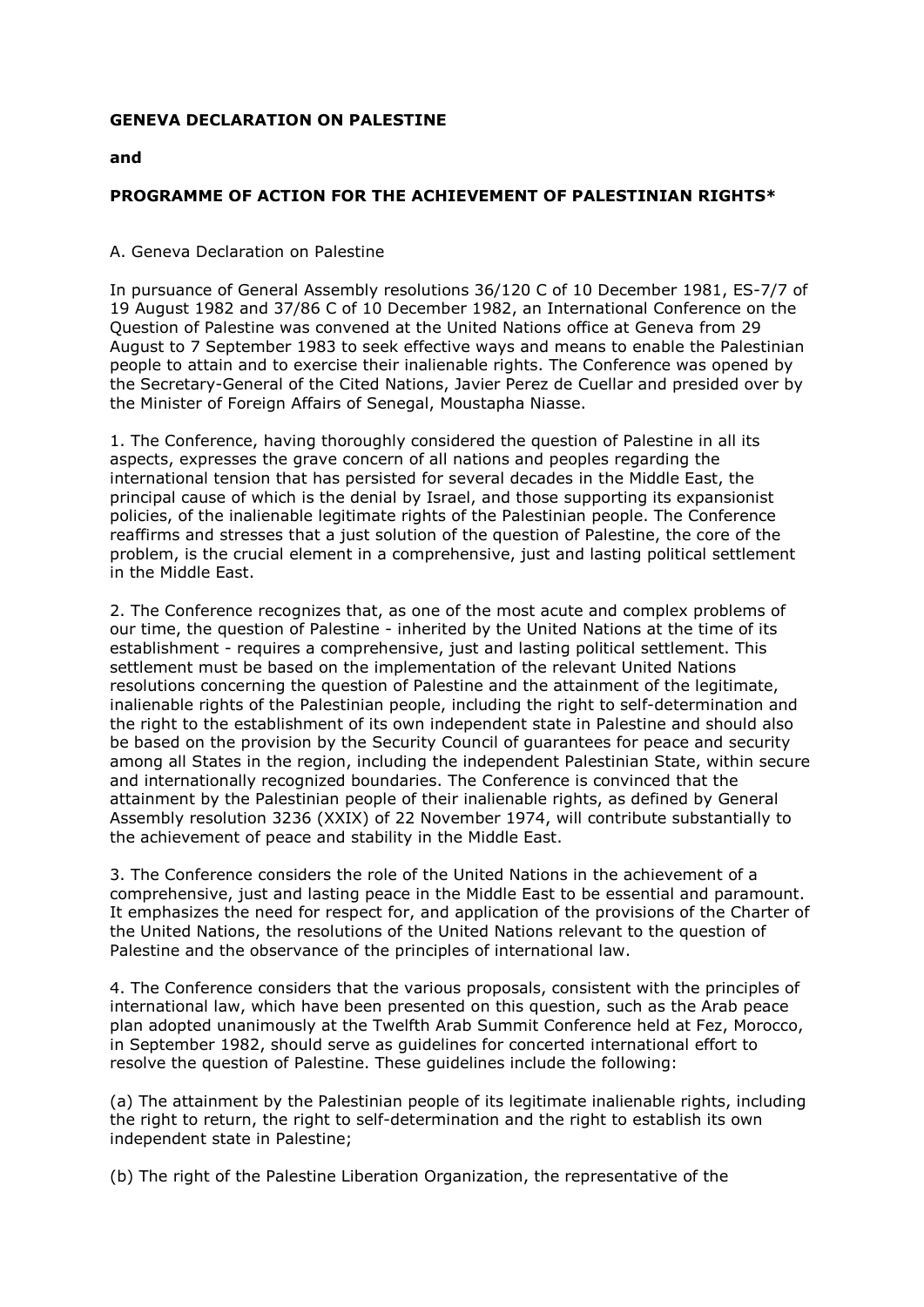### **GENEVA DECLARATION ON PALESTINE**

#### **and**

## **PROGRAMME OF ACTION FOR THE ACHIEVEMENT OF PALESTINIAN RIGHTS\***

#### A. Geneva Declaration on Palestine

In pursuance of General Assembly resolutions 36/120 C of 10 December 1981, ES-7/7 of 19 August 1982 and 37/86 C of 10 December 1982, an International Conference on the Question of Palestine was convened at the United Nations office at Geneva from 29 August to 7 September 1983 to seek effective ways and means to enable the Palestinian people to attain and to exercise their inalienable rights. The Conference was opened by the Secretary-General of the Cited Nations, Javier Perez de Cuellar and presided over by the Minister of Foreign Affairs of Senegal, Moustapha Niasse.

1. The Conference, having thoroughly considered the question of Palestine in all its aspects, expresses the grave concern of all nations and peoples regarding the international tension that has persisted for several decades in the Middle East, the principal cause of which is the denial by Israel, and those supporting its expansionist policies, of the inalienable legitimate rights of the Palestinian people. The Conference reaffirms and stresses that a just solution of the question of Palestine, the core of the problem, is the crucial element in a comprehensive, just and lasting political settlement in the Middle East.

2. The Conference recognizes that, as one of the most acute and complex problems of our time, the question of Palestine - inherited by the United Nations at the time of its establishment - requires a comprehensive, just and lasting political settlement. This settlement must be based on the implementation of the relevant United Nations resolutions concerning the question of Palestine and the attainment of the legitimate, inalienable rights of the Palestinian people, including the right to self-determination and the right to the establishment of its own independent state in Palestine and should also be based on the provision by the Security Council of guarantees for peace and security among all States in the region, including the independent Palestinian State, within secure and internationally recognized boundaries. The Conference is convinced that the attainment by the Palestinian people of their inalienable rights, as defined by General Assembly resolution 3236 (XXIX) of 22 November 1974, will contribute substantially to the achievement of peace and stability in the Middle East.

3. The Conference considers the role of the United Nations in the achievement of a comprehensive, just and lasting peace in the Middle East to be essential and paramount. It emphasizes the need for respect for, and application of the provisions of the Charter of the United Nations, the resolutions of the United Nations relevant to the question of Palestine and the observance of the principles of international law.

4. The Conference considers that the various proposals, consistent with the principles of international law, which have been presented on this question, such as the Arab peace plan adopted unanimously at the Twelfth Arab Summit Conference held at Fez, Morocco, in September 1982, should serve as guidelines for concerted international effort to resolve the question of Palestine. These guidelines include the following:

(a) The attainment by the Palestinian people of its legitimate inalienable rights, including the right to return, the right to self-determination and the right to establish its own independent state in Palestine;

(b) The right of the Palestine Liberation Organization, the representative of the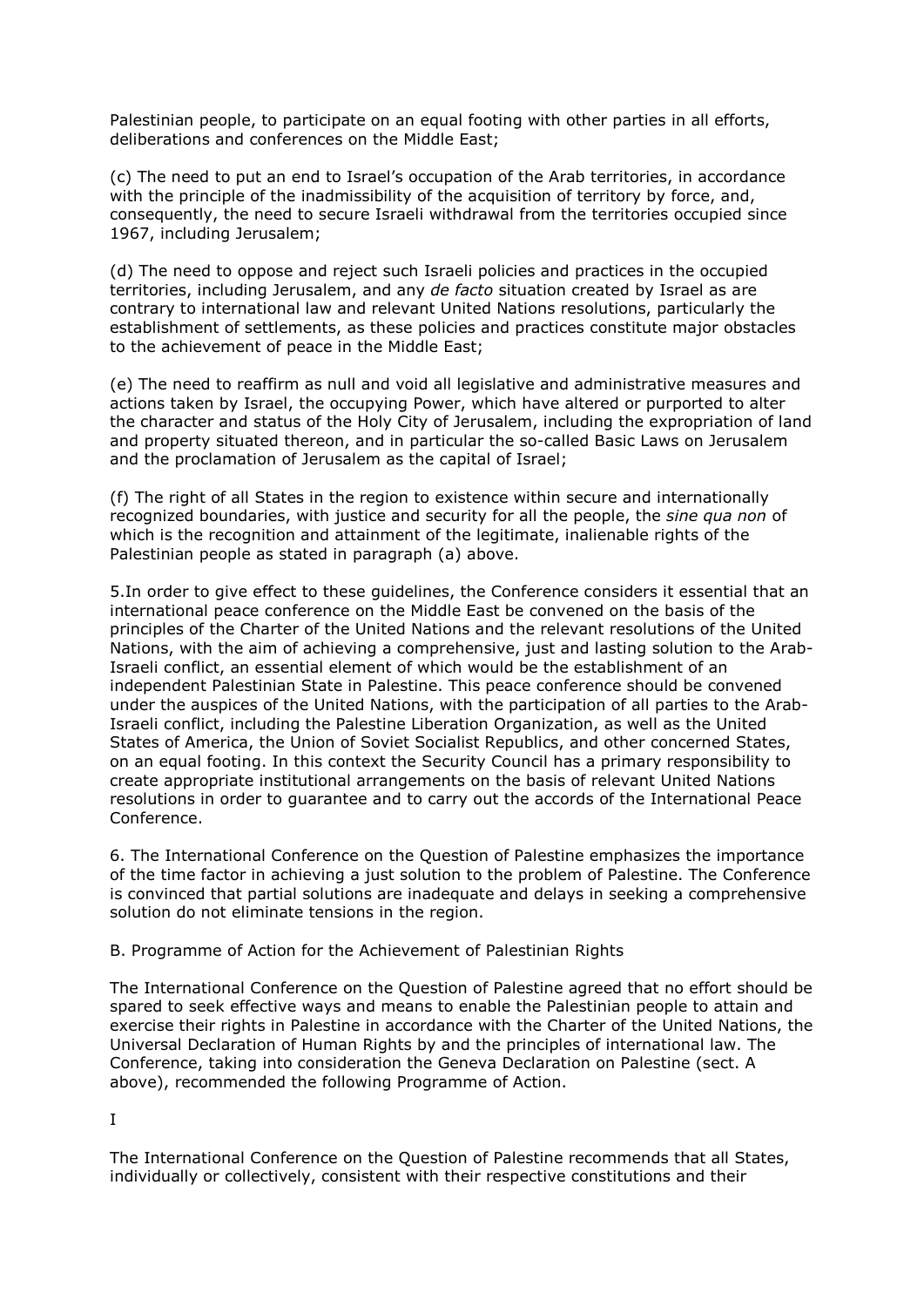Palestinian people, to participate on an equal footing with other parties in all efforts, deliberations and conferences on the Middle East;

(c) The need to put an end to Israel's occupation of the Arab territories, in accordance with the principle of the inadmissibility of the acquisition of territory by force, and, consequently, the need to secure Israeli withdrawal from the territories occupied since 1967, including Jerusalem;

(d) The need to oppose and reject such Israeli policies and practices in the occupied territories, including Jerusalem, and any *de facto* situation created by Israel as are contrary to international law and relevant United Nations resolutions, particularly the establishment of settlements, as these policies and practices constitute major obstacles to the achievement of peace in the Middle East;

(e) The need to reaffirm as null and void all legislative and administrative measures and actions taken by Israel, the occupying Power, which have altered or purported to alter the character and status of the Holy City of Jerusalem, including the expropriation of land and property situated thereon, and in particular the so-called Basic Laws on Jerusalem and the proclamation of Jerusalem as the capital of Israel;

(f) The right of all States in the region to existence within secure and internationally recognized boundaries, with justice and security for all the people, the *sine qua non* of which is the recognition and attainment of the legitimate, inalienable rights of the Palestinian people as stated in paragraph (a) above.

5.In order to give effect to these guidelines, the Conference considers it essential that an international peace conference on the Middle East be convened on the basis of the principles of the Charter of the United Nations and the relevant resolutions of the United Nations, with the aim of achieving a comprehensive, just and lasting solution to the Arab-Israeli conflict, an essential element of which would be the establishment of an independent Palestinian State in Palestine. This peace conference should be convened under the auspices of the United Nations, with the participation of all parties to the Arab-Israeli conflict, including the Palestine Liberation Organization, as well as the United States of America, the Union of Soviet Socialist Republics, and other concerned States, on an equal footing. In this context the Security Council has a primary responsibility to create appropriate institutional arrangements on the basis of relevant United Nations resolutions in order to guarantee and to carry out the accords of the International Peace Conference.

6. The International Conference on the Question of Palestine emphasizes the importance of the time factor in achieving a just solution to the problem of Palestine. The Conference is convinced that partial solutions are inadequate and delays in seeking a comprehensive solution do not eliminate tensions in the region.

B. Programme of Action for the Achievement of Palestinian Rights

The International Conference on the Question of Palestine agreed that no effort should be spared to seek effective ways and means to enable the Palestinian people to attain and exercise their rights in Palestine in accordance with the Charter of the United Nations, the Universal Declaration of Human Rights by and the principles of international law. The Conference, taking into consideration the Geneva Declaration on Palestine (sect. A above), recommended the following Programme of Action.

I

The International Conference on the Question of Palestine recommends that all States, individually or collectively, consistent with their respective constitutions and their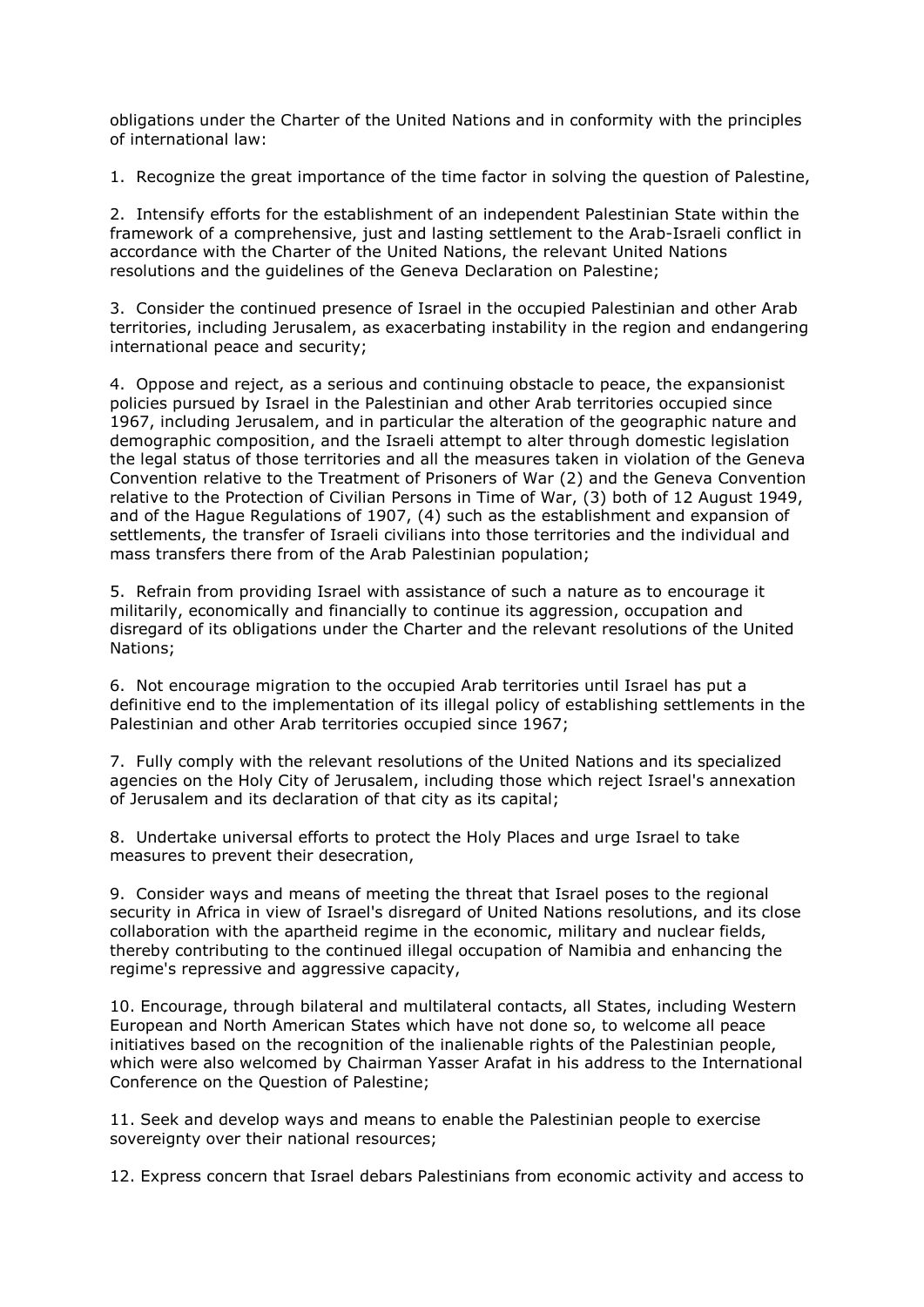obligations under the Charter of the United Nations and in conformity with the principles of international law:

1. Recognize the great importance of the time factor in solving the question of Palestine,

2. Intensify efforts for the establishment of an independent Palestinian State within the framework of a comprehensive, just and lasting settlement to the Arab-Israeli conflict in accordance with the Charter of the United Nations, the relevant United Nations resolutions and the guidelines of the Geneva Declaration on Palestine;

3. Consider the continued presence of Israel in the occupied Palestinian and other Arab territories, including Jerusalem, as exacerbating instability in the region and endangering international peace and security;

4. Oppose and reject, as a serious and continuing obstacle to peace, the expansionist policies pursued by Israel in the Palestinian and other Arab territories occupied since 1967, including Jerusalem, and in particular the alteration of the geographic nature and demographic composition, and the Israeli attempt to alter through domestic legislation the legal status of those territories and all the measures taken in violation of the Geneva Convention relative to the Treatment of Prisoners of War (2) and the Geneva Convention relative to the Protection of Civilian Persons in Time of War, (3) both of 12 August 1949, and of the Hague Regulations of 1907, (4) such as the establishment and expansion of settlements, the transfer of Israeli civilians into those territories and the individual and mass transfers there from of the Arab Palestinian population;

5. Refrain from providing Israel with assistance of such a nature as to encourage it militarily, economically and financially to continue its aggression, occupation and disregard of its obligations under the Charter and the relevant resolutions of the United Nations;

6. Not encourage migration to the occupied Arab territories until Israel has put a definitive end to the implementation of its illegal policy of establishing settlements in the Palestinian and other Arab territories occupied since 1967;

7. Fully comply with the relevant resolutions of the United Nations and its specialized agencies on the Holy City of Jerusalem, including those which reject Israel's annexation of Jerusalem and its declaration of that city as its capital;

8. Undertake universal efforts to protect the Holy Places and urge Israel to take measures to prevent their desecration,

9. Consider ways and means of meeting the threat that Israel poses to the regional security in Africa in view of Israel's disregard of United Nations resolutions, and its close collaboration with the apartheid regime in the economic, military and nuclear fields, thereby contributing to the continued illegal occupation of Namibia and enhancing the regime's repressive and aggressive capacity,

10. Encourage, through bilateral and multilateral contacts, all States, including Western European and North American States which have not done so, to welcome all peace initiatives based on the recognition of the inalienable rights of the Palestinian people, which were also welcomed by Chairman Yasser Arafat in his address to the International Conference on the Question of Palestine;

11. Seek and develop ways and means to enable the Palestinian people to exercise sovereignty over their national resources;

12. Express concern that Israel debars Palestinians from economic activity and access to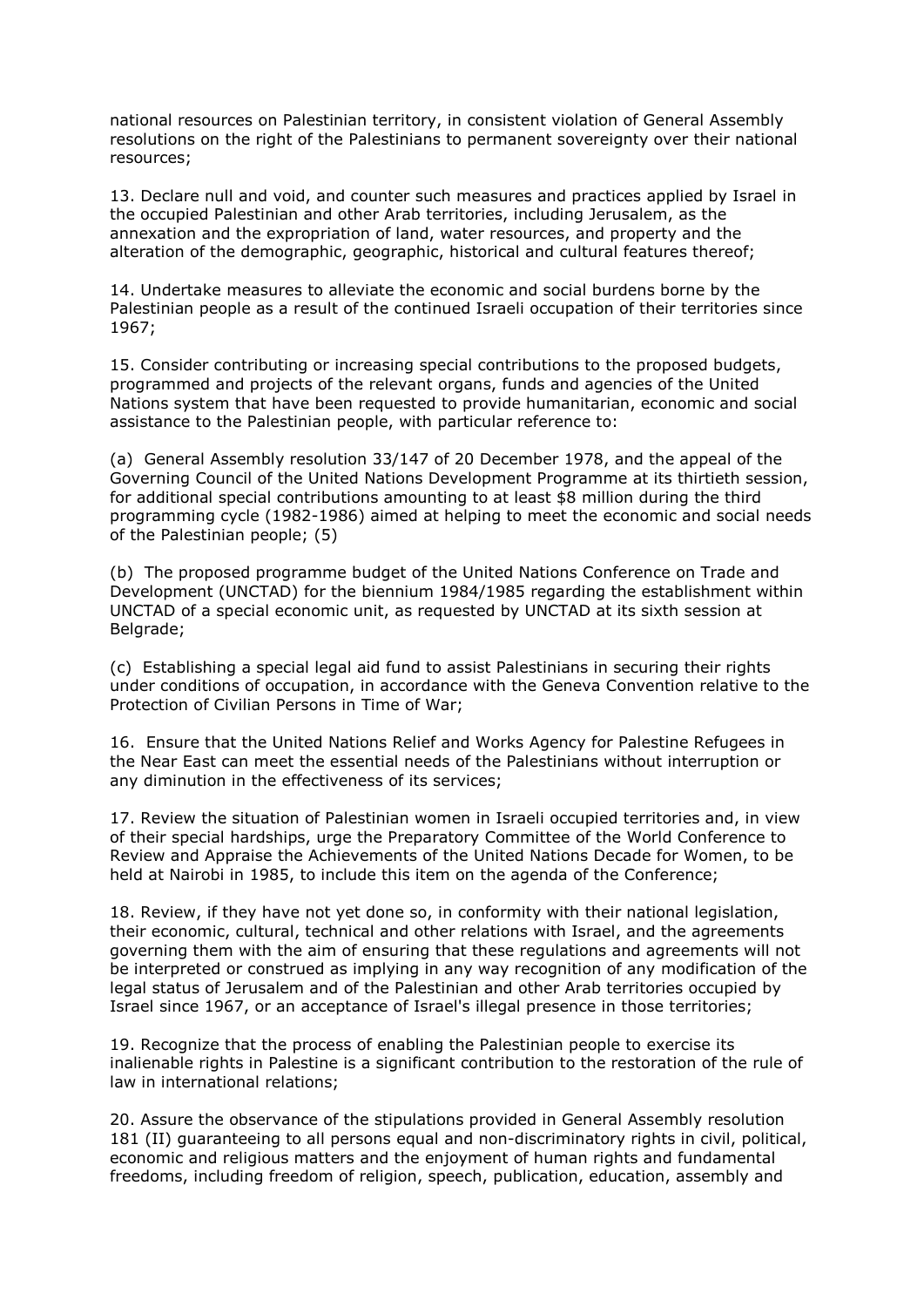national resources on Palestinian territory, in consistent violation of General Assembly resolutions on the right of the Palestinians to permanent sovereignty over their national resources;

13. Declare null and void, and counter such measures and practices applied by Israel in the occupied Palestinian and other Arab territories, including Jerusalem, as the annexation and the expropriation of land, water resources, and property and the alteration of the demographic, geographic, historical and cultural features thereof;

14. Undertake measures to alleviate the economic and social burdens borne by the Palestinian people as a result of the continued Israeli occupation of their territories since 1967;

15. Consider contributing or increasing special contributions to the proposed budgets, programmed and projects of the relevant organs, funds and agencies of the United Nations system that have been requested to provide humanitarian, economic and social assistance to the Palestinian people, with particular reference to:

(a) General Assembly resolution 33/147 of 20 December 1978, and the appeal of the Governing Council of the United Nations Development Programme at its thirtieth session, for additional special contributions amounting to at least \$8 million during the third programming cycle (1982-1986) aimed at helping to meet the economic and social needs of the Palestinian people; (5)

(b) The proposed programme budget of the United Nations Conference on Trade and Development (UNCTAD) for the biennium 1984/1985 regarding the establishment within UNCTAD of a special economic unit, as requested by UNCTAD at its sixth session at Belgrade;

(c) Establishing a special legal aid fund to assist Palestinians in securing their rights under conditions of occupation, in accordance with the Geneva Convention relative to the Protection of Civilian Persons in Time of War;

16. Ensure that the United Nations Relief and Works Agency for Palestine Refugees in the Near East can meet the essential needs of the Palestinians without interruption or any diminution in the effectiveness of its services;

17. Review the situation of Palestinian women in Israeli occupied territories and, in view of their special hardships, urge the Preparatory Committee of the World Conference to Review and Appraise the Achievements of the United Nations Decade for Women, to be held at Nairobi in 1985, to include this item on the agenda of the Conference;

18. Review, if they have not yet done so, in conformity with their national legislation, their economic, cultural, technical and other relations with Israel, and the agreements governing them with the aim of ensuring that these regulations and agreements will not be interpreted or construed as implying in any way recognition of any modification of the legal status of Jerusalem and of the Palestinian and other Arab territories occupied by Israel since 1967, or an acceptance of Israel's illegal presence in those territories;

19. Recognize that the process of enabling the Palestinian people to exercise its inalienable rights in Palestine is a significant contribution to the restoration of the rule of law in international relations;

20. Assure the observance of the stipulations provided in General Assembly resolution 181 (II) guaranteeing to all persons equal and non-discriminatory rights in civil, political, economic and religious matters and the enjoyment of human rights and fundamental freedoms, including freedom of religion, speech, publication, education, assembly and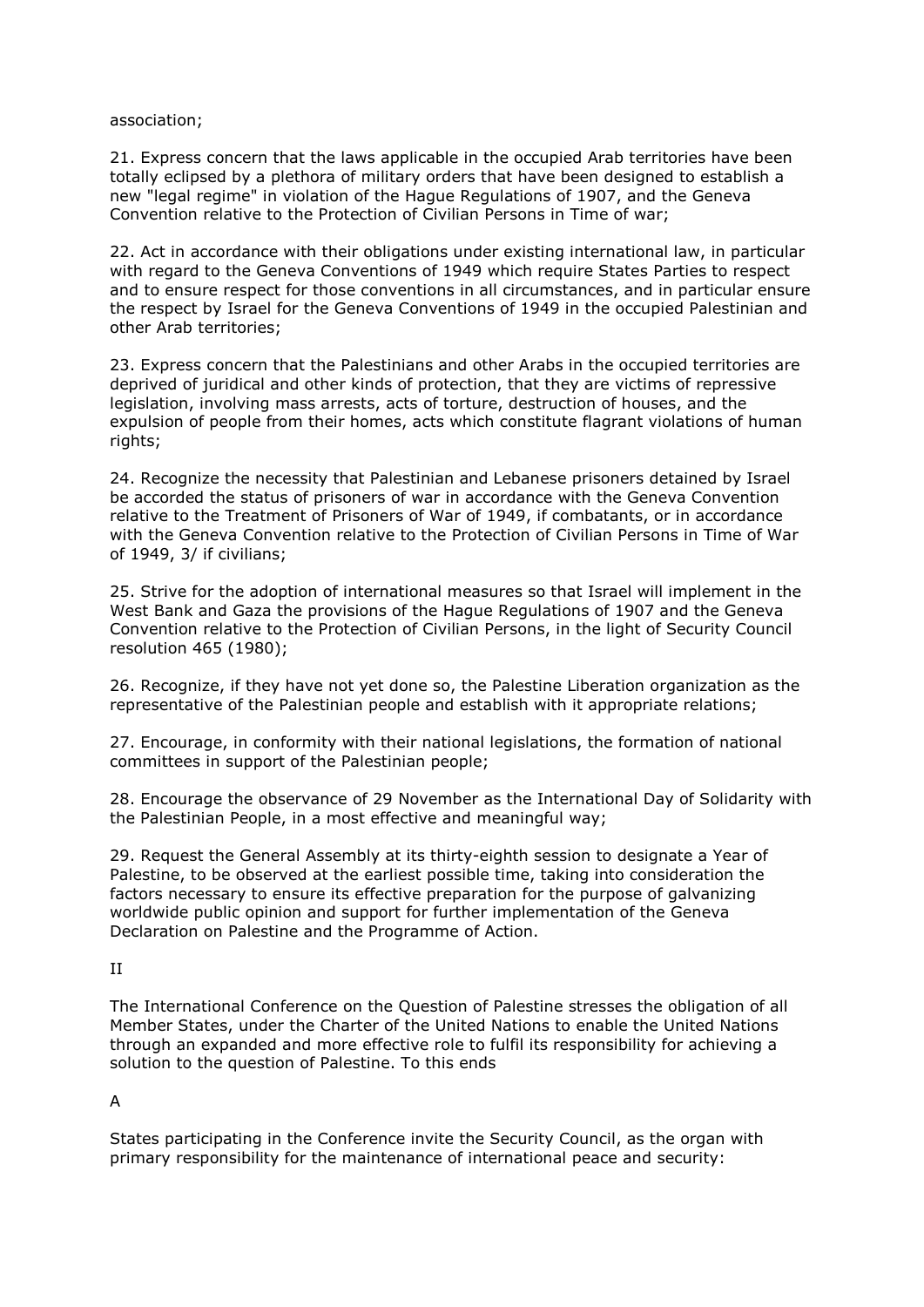#### association;

21. Express concern that the laws applicable in the occupied Arab territories have been totally eclipsed by a plethora of military orders that have been designed to establish a new "legal regime" in violation of the Hague Regulations of 1907, and the Geneva Convention relative to the Protection of Civilian Persons in Time of war;

22. Act in accordance with their obligations under existing international law, in particular with regard to the Geneva Conventions of 1949 which require States Parties to respect and to ensure respect for those conventions in all circumstances, and in particular ensure the respect by Israel for the Geneva Conventions of 1949 in the occupied Palestinian and other Arab territories;

23. Express concern that the Palestinians and other Arabs in the occupied territories are deprived of juridical and other kinds of protection, that they are victims of repressive legislation, involving mass arrests, acts of torture, destruction of houses, and the expulsion of people from their homes, acts which constitute flagrant violations of human rights;

24. Recognize the necessity that Palestinian and Lebanese prisoners detained by Israel be accorded the status of prisoners of war in accordance with the Geneva Convention relative to the Treatment of Prisoners of War of 1949, if combatants, or in accordance with the Geneva Convention relative to the Protection of Civilian Persons in Time of War of 1949, 3/ if civilians;

25. Strive for the adoption of international measures so that Israel will implement in the West Bank and Gaza the provisions of the Hague Regulations of 1907 and the Geneva Convention relative to the Protection of Civilian Persons, in the light of Security Council resolution 465 (1980);

26. Recognize, if they have not yet done so, the Palestine Liberation organization as the representative of the Palestinian people and establish with it appropriate relations;

27. Encourage, in conformity with their national legislations, the formation of national committees in support of the Palestinian people;

28. Encourage the observance of 29 November as the International Day of Solidarity with the Palestinian People, in a most effective and meaningful way;

29. Request the General Assembly at its thirty-eighth session to designate a Year of Palestine, to be observed at the earliest possible time, taking into consideration the factors necessary to ensure its effective preparation for the purpose of galvanizing worldwide public opinion and support for further implementation of the Geneva Declaration on Palestine and the Programme of Action.

#### II

The International Conference on the Question of Palestine stresses the obligation of all Member States, under the Charter of the United Nations to enable the United Nations through an expanded and more effective role to fulfil its responsibility for achieving a solution to the question of Palestine. To this ends

#### A

States participating in the Conference invite the Security Council, as the organ with primary responsibility for the maintenance of international peace and security: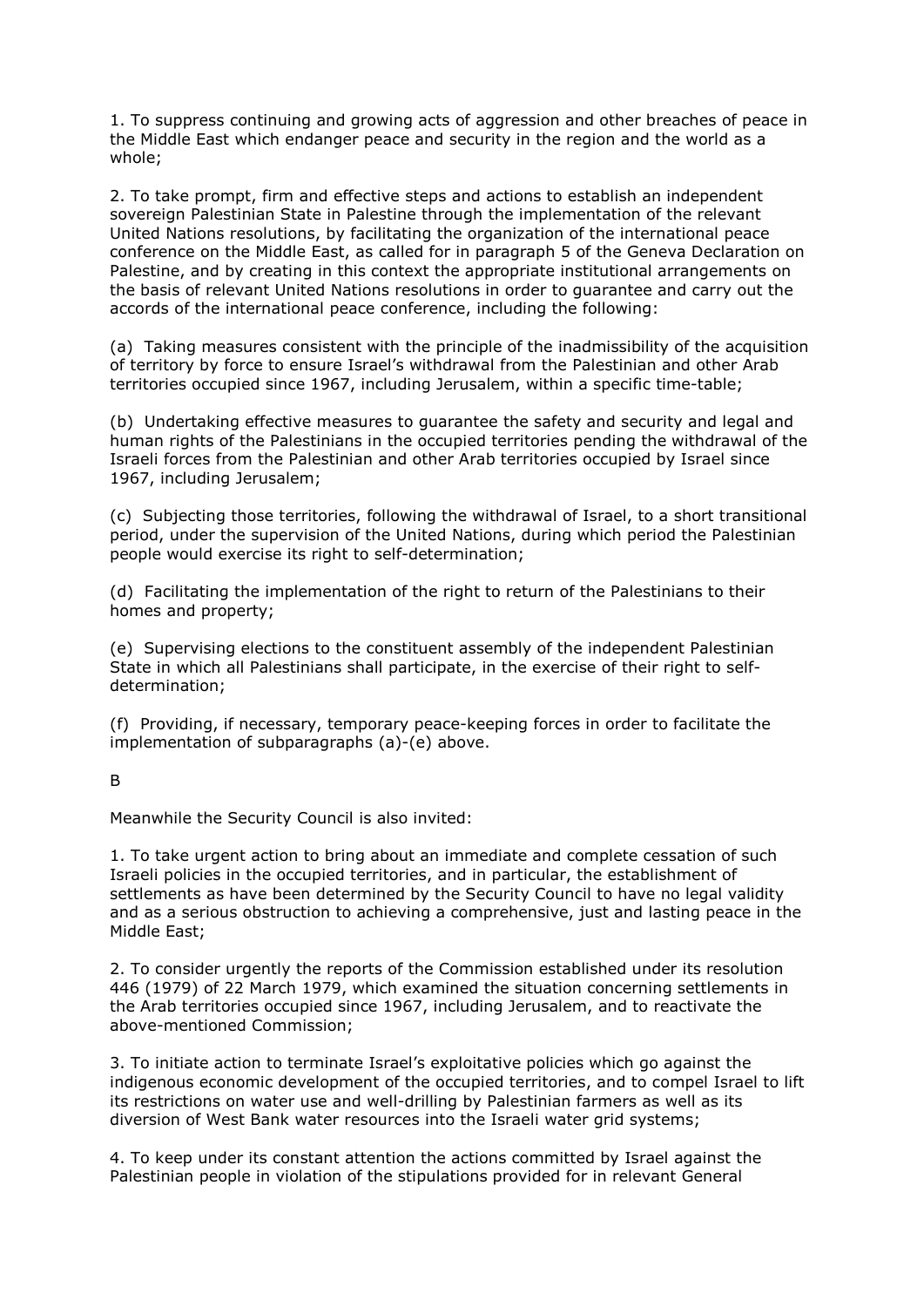1. To suppress continuing and growing acts of aggression and other breaches of peace in the Middle East which endanger peace and security in the region and the world as a whole;

2. To take prompt, firm and effective steps and actions to establish an independent sovereign Palestinian State in Palestine through the implementation of the relevant United Nations resolutions, by facilitating the organization of the international peace conference on the Middle East, as called for in paragraph 5 of the Geneva Declaration on Palestine, and by creating in this context the appropriate institutional arrangements on the basis of relevant United Nations resolutions in order to guarantee and carry out the accords of the international peace conference, including the following:

(a) Taking measures consistent with the principle of the inadmissibility of the acquisition of territory by force to ensure Israel's withdrawal from the Palestinian and other Arab territories occupied since 1967, including Jerusalem, within a specific time-table;

(b) Undertaking effective measures to guarantee the safety and security and legal and human rights of the Palestinians in the occupied territories pending the withdrawal of the Israeli forces from the Palestinian and other Arab territories occupied by Israel since 1967, including Jerusalem;

(c) Subjecting those territories, following the withdrawal of Israel, to a short transitional period, under the supervision of the United Nations, during which period the Palestinian people would exercise its right to self-determination;

(d) Facilitating the implementation of the right to return of the Palestinians to their homes and property;

(e) Supervising elections to the constituent assembly of the independent Palestinian State in which all Palestinians shall participate, in the exercise of their right to selfdetermination;

(f) Providing, if necessary, temporary peace-keeping forces in order to facilitate the implementation of subparagraphs (a)-(e) above.

B

Meanwhile the Security Council is also invited:

1. To take urgent action to bring about an immediate and complete cessation of such Israeli policies in the occupied territories, and in particular, the establishment of settlements as have been determined by the Security Council to have no legal validity and as a serious obstruction to achieving a comprehensive, just and lasting peace in the Middle East;

2. To consider urgently the reports of the Commission established under its resolution 446 (1979) of 22 March 1979, which examined the situation concerning settlements in the Arab territories occupied since 1967, including Jerusalem, and to reactivate the above-mentioned Commission;

3. To initiate action to terminate Israel's exploitative policies which go against the indigenous economic development of the occupied territories, and to compel Israel to lift its restrictions on water use and well-drilling by Palestinian farmers as well as its diversion of West Bank water resources into the Israeli water grid systems;

4. To keep under its constant attention the actions committed by Israel against the Palestinian people in violation of the stipulations provided for in relevant General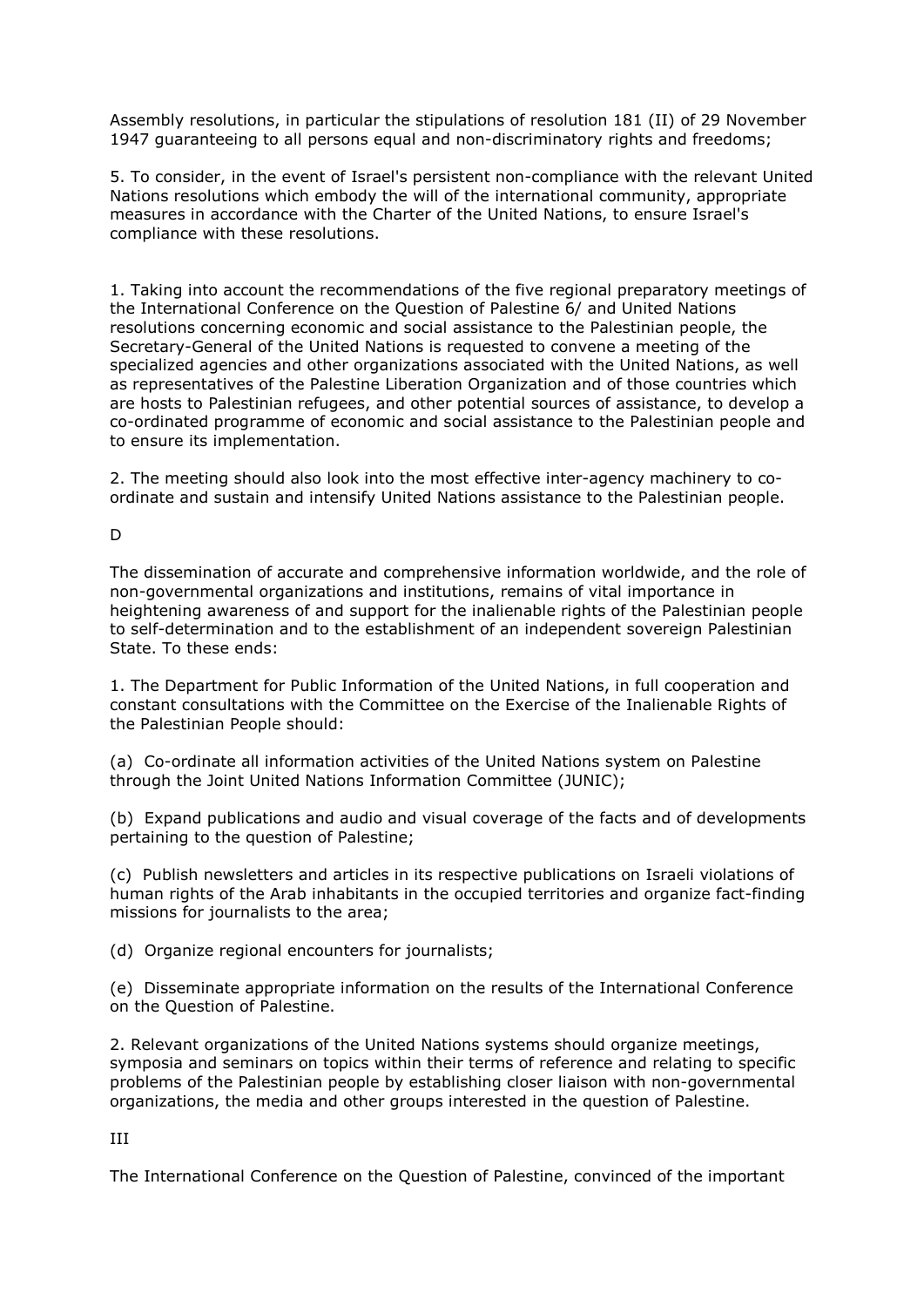Assembly resolutions, in particular the stipulations of resolution 181 (II) of 29 November 1947 guaranteeing to all persons equal and non-discriminatory rights and freedoms;

5. To consider, in the event of Israel's persistent non-compliance with the relevant United Nations resolutions which embody the will of the international community, appropriate measures in accordance with the Charter of the United Nations, to ensure Israel's compliance with these resolutions.

1. Taking into account the recommendations of the five regional preparatory meetings of the International Conference on the Question of Palestine 6/ and United Nations resolutions concerning economic and social assistance to the Palestinian people, the Secretary-General of the United Nations is requested to convene a meeting of the specialized agencies and other organizations associated with the United Nations, as well as representatives of the Palestine Liberation Organization and of those countries which are hosts to Palestinian refugees, and other potential sources of assistance, to develop a co-ordinated programme of economic and social assistance to the Palestinian people and to ensure its implementation.

2. The meeting should also look into the most effective inter-agency machinery to coordinate and sustain and intensify United Nations assistance to the Palestinian people.

D

The dissemination of accurate and comprehensive information worldwide, and the role of non-governmental organizations and institutions, remains of vital importance in heightening awareness of and support for the inalienable rights of the Palestinian people to self-determination and to the establishment of an independent sovereign Palestinian State. To these ends:

1. The Department for Public Information of the United Nations, in full cooperation and constant consultations with the Committee on the Exercise of the Inalienable Rights of the Palestinian People should:

(a) Co-ordinate all information activities of the United Nations system on Palestine through the Joint United Nations Information Committee (JUNIC);

(b) Expand publications and audio and visual coverage of the facts and of developments pertaining to the question of Palestine;

(c) Publish newsletters and articles in its respective publications on Israeli violations of human rights of the Arab inhabitants in the occupied territories and organize fact-finding missions for journalists to the area;

(d) Organize regional encounters for journalists;

(e) Disseminate appropriate information on the results of the International Conference on the Question of Palestine.

2. Relevant organizations of the United Nations systems should organize meetings, symposia and seminars on topics within their terms of reference and relating to specific problems of the Palestinian people by establishing closer liaison with non-governmental organizations, the media and other groups interested in the question of Palestine.

III

The International Conference on the Question of Palestine, convinced of the important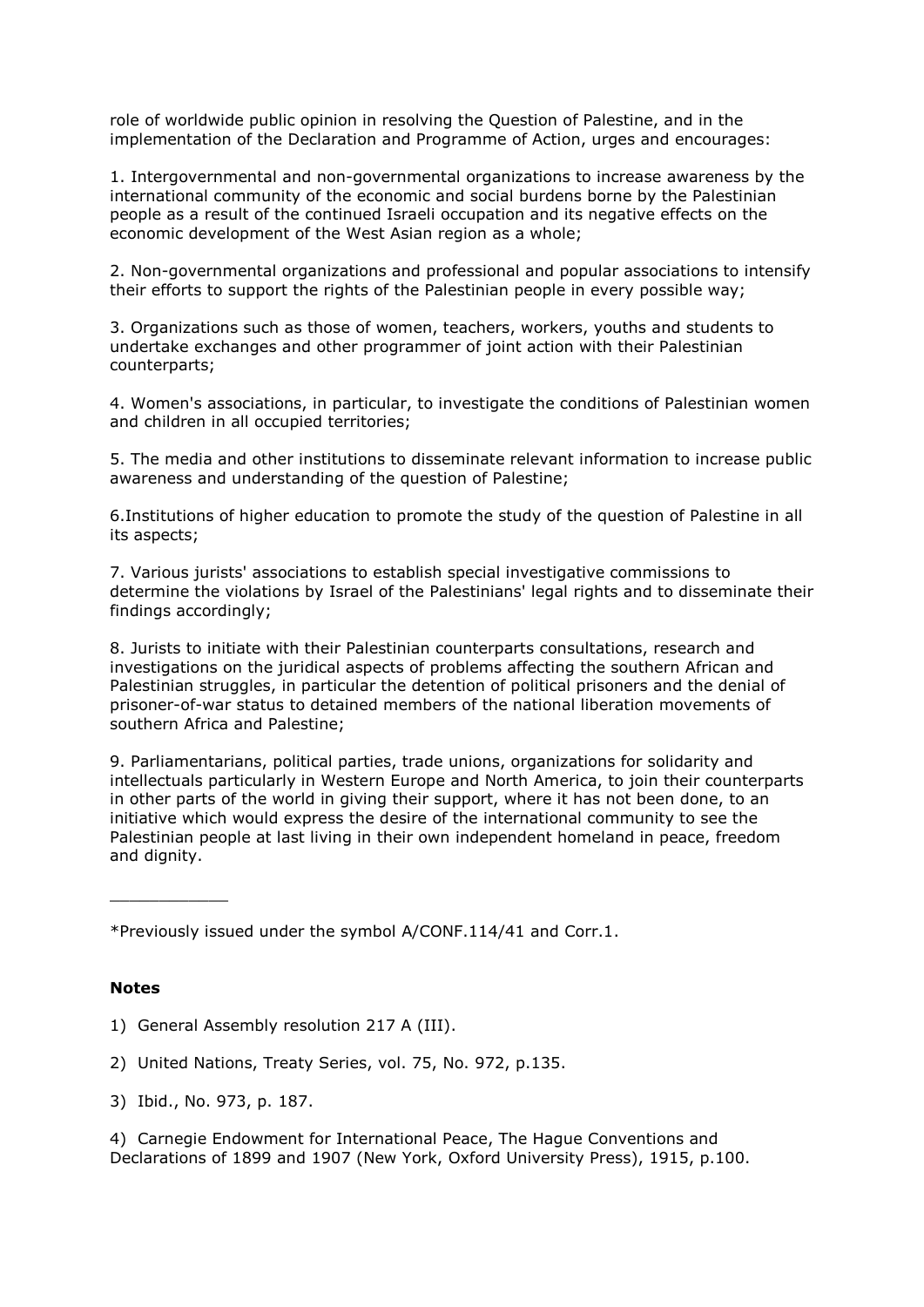role of worldwide public opinion in resolving the Question of Palestine, and in the implementation of the Declaration and Programme of Action, urges and encourages:

1. Intergovernmental and non-governmental organizations to increase awareness by the international community of the economic and social burdens borne by the Palestinian people as a result of the continued Israeli occupation and its negative effects on the economic development of the West Asian region as a whole;

2. Non-governmental organizations and professional and popular associations to intensify their efforts to support the rights of the Palestinian people in every possible way;

3. Organizations such as those of women, teachers, workers, youths and students to undertake exchanges and other programmer of joint action with their Palestinian counterparts;

4. Women's associations, in particular, to investigate the conditions of Palestinian women and children in all occupied territories;

5. The media and other institutions to disseminate relevant information to increase public awareness and understanding of the question of Palestine;

6.Institutions of higher education to promote the study of the question of Palestine in all its aspects;

7. Various jurists' associations to establish special investigative commissions to determine the violations by Israel of the Palestinians' legal rights and to disseminate their findings accordingly;

8. Jurists to initiate with their Palestinian counterparts consultations, research and investigations on the juridical aspects of problems affecting the southern African and Palestinian struggles, in particular the detention of political prisoners and the denial of prisoner-of-war status to detained members of the national liberation movements of southern Africa and Palestine;

9. Parliamentarians, political parties, trade unions, organizations for solidarity and intellectuals particularly in Western Europe and North America, to join their counterparts in other parts of the world in giving their support, where it has not been done, to an initiative which would express the desire of the international community to see the Palestinian people at last living in their own independent homeland in peace, freedom and dignity.

#### **Notes**

\_\_\_\_\_\_\_\_\_\_\_\_

- 1) General Assembly resolution 217 A (III).
- 2) United Nations, Treaty Series, vol. 75, No. 972, p.135.
- 3) Ibid., No. 973, p. 187.

4) Carnegie Endowment for International Peace, The Hague Conventions and Declarations of 1899 and 1907 (New York, Oxford University Press), 1915, p.100.

<sup>\*</sup>Previously issued under the symbol A/CONF.114/41 and Corr.1.